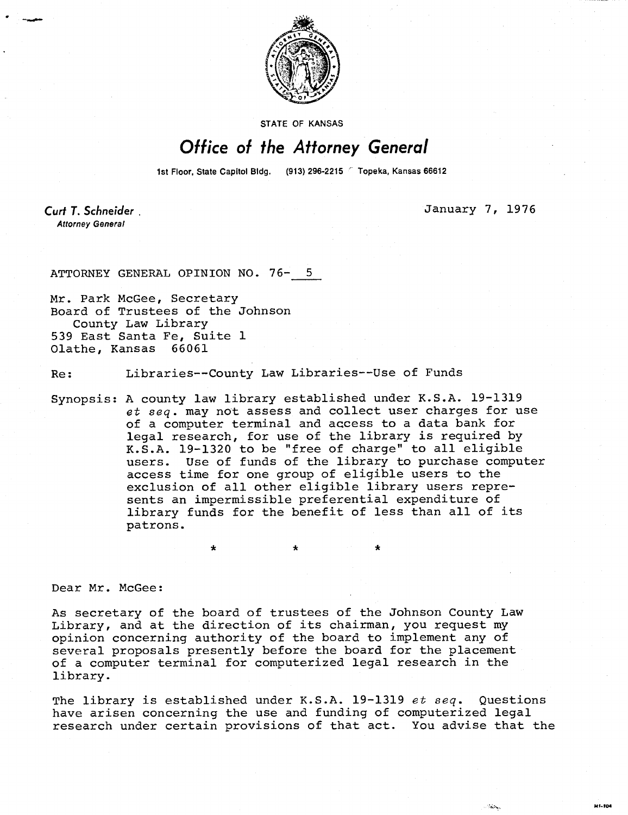

**STATE OF KANSAS** 

## Office of the Attorney General

1st Floor, State Capitol Bldg. (913) 296-2215 <sup>C</sup> Topeka, Kansas 66612

Curt T. Schneider **Attorney General** 

January 7, 1976

141-104

SKS.

ATTORNEY GENERAL OPINION NO. 76-

Mr. Park McGee, Secretary Board of Trustees of the Johnson County Law Library 539 East Santa Fe, Suite 1 Olathe, Kansas 66061

Re: Libraries--County Law Libraries--Use of Funds

\* \*

Synopsis: A county law library established under K.S.A. 19-1319 et seq. may not assess and collect user charges for use of a computer terminal and access to a data bank for legal research, for use of the library is required by K.S.A. 19-1320 to be "free of charge" to all eligible users. Use of funds of the library to purchase computer access time for one group of eligible users to the exclusion of all other eligible library users represents an impermissible preferential expenditure of library funds for the benefit of less than all of its patrons.

Dear Mr. McGee:

As secretary of the board of trustees of the Johnson County Law Library, and at the direction of its chairman, you request my opinion concerning authority of the board to implement any of several proposals presently before the board for the placement of a computer terminal for computerized legal research in the library.

The library is established under K.S.A. 19-1319 et seq. Questions have arisen concerning the use and funding of computerized legal research under certain provisions of that act. You advise that the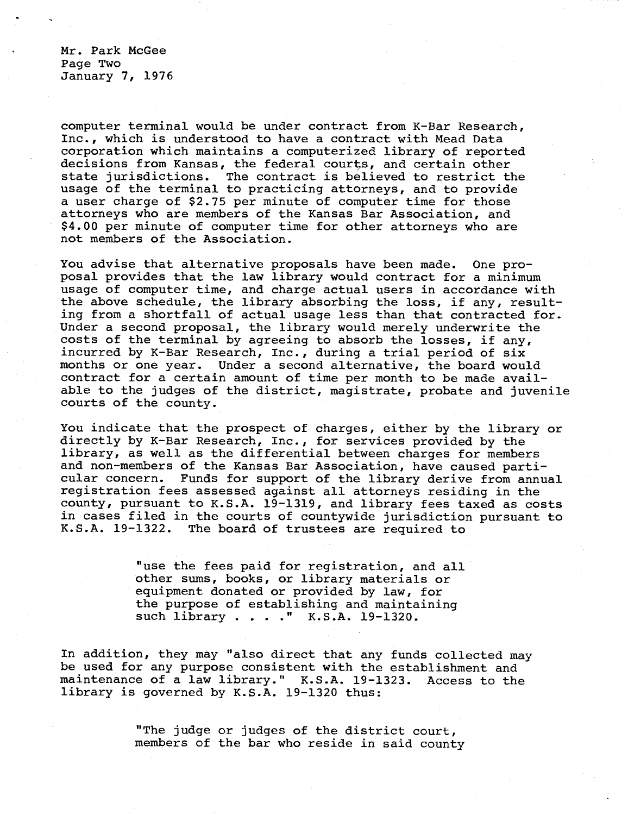Mr. Park McGee Page Two January 7, 1976

computer terminal would be under contract from K-Bar Research, Inc., which is understood to have a contract with Mead Data corporation which maintains a computerized library of reported decisions from Kansas, the federal courts, and certain other state jurisdictions. The contract is believed to restrict the usage of the terminal to practicing attorneys, and to provide a user charge of \$2.75 per minute of computer time for those attorneys who are members of the Kansas Bar Association, and \$4.00 per minute of computer time for other attorneys who are not members of the Association.

You advise that alternative proposals have been made. One proposal provides that the law library would contract for a minimum usage of computer time, and charge actual users in accordance with the above schedule, the library absorbing the loss, if any, resulting from a shortfall of actual usage less than that contracted for. Under a second proposal, the library would merely underwrite the costs of the terminal by agreeing to absorb the losses, if any, incurred by K-Bar Research, Inc., during a trial period of six months or one year. Under a second alternative, the board would contract for a certain amount of time per month to be made available to the judges of the district, magistrate, probate and juvenile courts of the county.

You indicate that the prospect of charges, either by the library or directly by K-Bar Research, Inc., for services provided by the library, as well as the differential between charges for members and non-members of the Kansas Bar Association, have caused particular concern. Funds for support of the library derive from annual registration fees assessed against all attorneys residing in the county, pursuant to K.S.A. 19-1319, and library fees taxed as costs in cases filed in the courts of countywide jurisdiction pursuant to K.S.A. 19-1322. The board of trustees are required to

> "use the fees paid for registration, and all other sums, books, or library materials or equipment donated or provided by law, for the purpose of establishing and maintaining such library . . . ." K.S.A. 19-1320.

In addition, they may "also direct that any funds collected may be used for any purpose consistent with the establishment and maintenance of a law library." K.S.A. 19-1323. Access to the library is governed by K.S.A. 19-1320 thus:

> "The judge or judges of the district court, members of the bar who reside in said county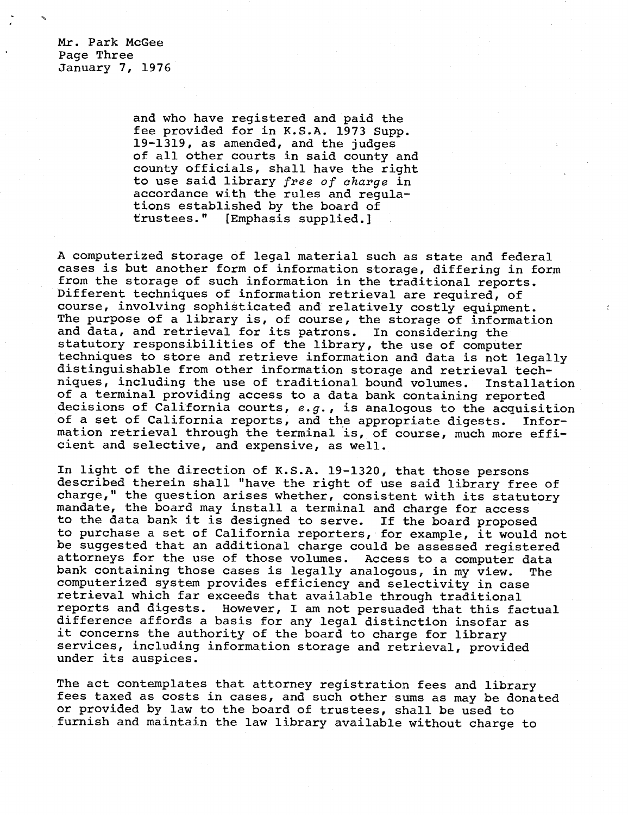Mr. Park McGee Page Three January 7, 1976

> and who have registered and paid the fee provided for in K.S.A. 1973 Supp. 19-1319, as amended, and the judges of all other courts in said county and county officials, shall have the right to use said library free of charge in accordance with the rules and regulations established by the board of trustees." [Emphasis supplied.]

A computerized storage of legal material such as state and federal cases is but another form of information storage, differing in form from the storage of such information in the traditional reports. Different techniques of information retrieval are required, of course, involving sophisticated and relatively costly equipment. The purpose of a library is, of course, the storage of information and data, and retrieval for its patrons. In considering the statutory responsibilities of the library, the use of computer techniques to store and retrieve information and data is not legally distinguishable from other information storage and retrieval techniques, including the use of traditional bound volumes. Installation of a terminal providing access to a data bank containing reported decisions of California courts, e.g., is analogous to the acquisition of a set of California reports, and the appropriate digests. Information retrieval through the terminal is, of course, much more efficient and selective, and expensive, as well.

In light of the direction of K.S.A. 19-1320, that those persons described therein shall "have the right of use said library free of charge," the question arises whether, consistent with its statutory mandate, the board may install a terminal and charge for access to the data bank it is designed to serve. If the board proposed to purchase a set of California reporters, for example, it would not be suggested that an additional charge could be assessed registered attorneys for the use of those volumes. Access to a computer data bank containing those cases is legally analogous, in my view. The computerized system provides efficiency and selectivity in case retrieval which far exceeds that available through traditional reports and digests. However, I am not persuaded that this factual difference affords a basis for any legal distinction insofar as it concerns the authority of the board to charge for library services, including information storage and retrieval, provided under its auspices.

The act contemplates that attorney registration fees and library fees taxed as costs in cases, and such other sums as may be donated or provided by law to the board of trustees, shall be used to furnish and maintain the law library available without charge to